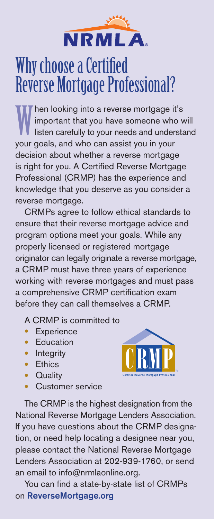

# Why choose a Certified Reverse Mortgage Professional?

W hen looking into a reverse mortgage it's important that you have someone who will listen carefully to your needs and understand your goals, and who can assist you in your decision about whether a reverse mortgage is right for you. A Certified Reverse Mortgage Professional (CRMP) has the experience and knowledge that you deserve as you consider a reverse mortgage.

CRMPs agree to follow ethical standards to ensure that their reverse mortgage advice and program options meet your goals. While any properly licensed or registered mortgage originator can legally originate a reverse mortgage, a CRMP must have three years of experience working with reverse mortgages and must pass a comprehensive CRMP certification exam before they can call themselves a CRMP.

A CRMP is committed to

- **Experience**
- **Education**
- **Integrity**
- Ethics
- **Quality**
- Customer service



The CRMP is the highest designation from the National Reverse Mortgage Lenders Association. If you have questions about the CRMP designation, or need help locating a designee near you, please contact the National Reverse Mortgage Lenders Association at 202-939-1760, or send an email to info@nrmlaonline.org.

You can find a state-by-state list of CRMPs on ReverseMortgage.org